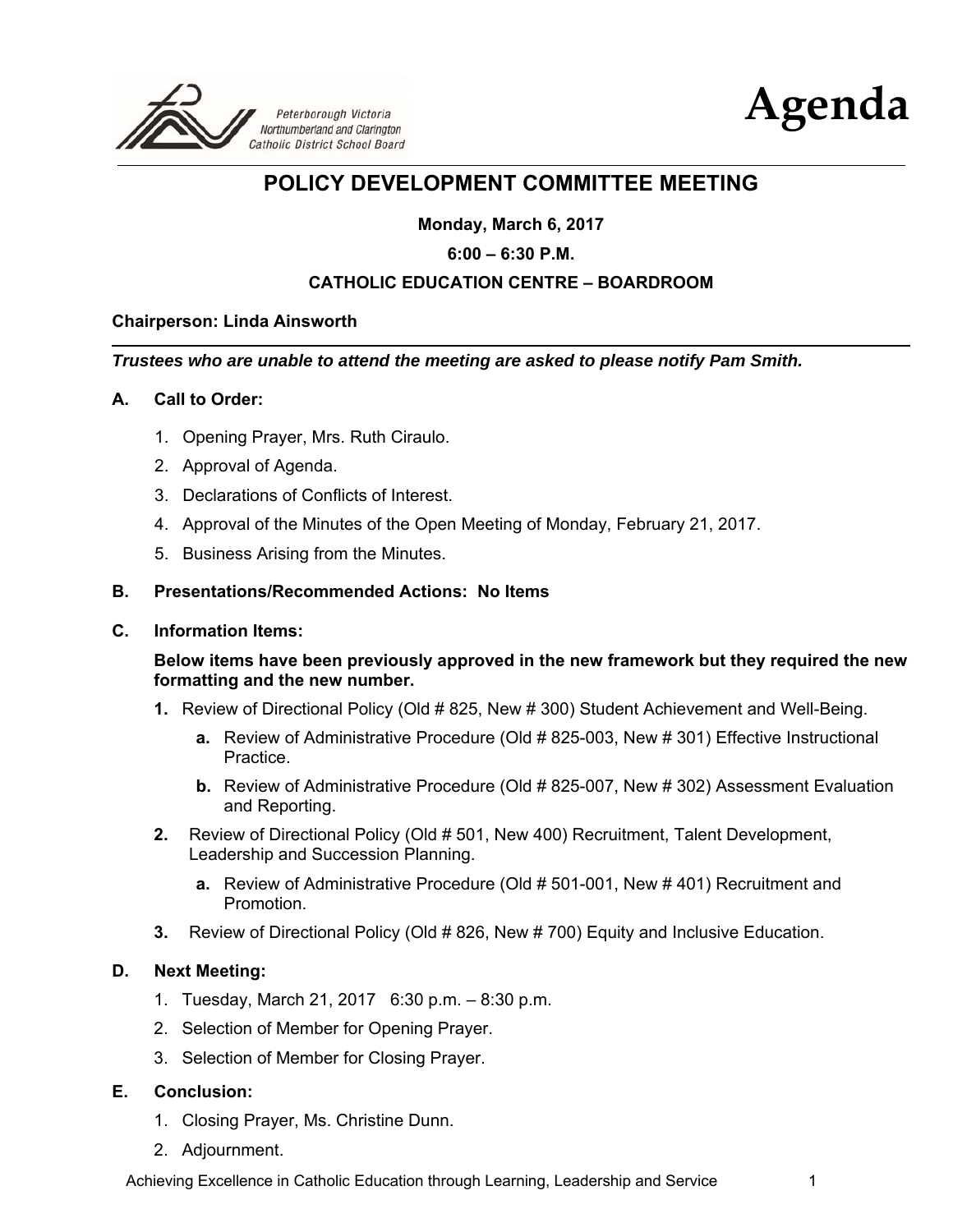



## **POLICY DEVELOPMENT COMMITTEE MEETING**

**Monday, March 6, 2017** 

#### **6:00 – 6:30 P.M.**

#### **CATHOLIC EDUCATION CENTRE – BOARDROOM**

#### **Chairperson: Linda Ainsworth**

*Trustees who are unable to attend the meeting are asked to please notify Pam Smith.* 

#### **A. Call to Order:**

- 1. Opening Prayer, Mrs. Ruth Ciraulo.
- 2. Approval of Agenda.
- 3. Declarations of Conflicts of Interest.
- 4. Approval of the Minutes of the Open Meeting of Monday, February 21, 2017.
- 5. Business Arising from the Minutes.

#### **B. Presentations/Recommended Actions: No Items**

#### **C. Information Items:**

#### **Below items have been previously approved in the new framework but they required the new formatting and the new number.**

- **1.** Review of Directional Policy (Old # 825, New # 300) Student Achievement and Well-Being.
	- **a.** Review of Administrative Procedure (Old # 825-003, New # 301) Effective Instructional Practice.
	- **b.** Review of Administrative Procedure (Old # 825-007, New # 302) Assessment Evaluation and Reporting.
- **2.** Review of Directional Policy (Old # 501, New 400) Recruitment, Talent Development, Leadership and Succession Planning.
	- **a.** Review of Administrative Procedure (Old # 501-001, New # 401) Recruitment and Promotion.
- **3.** Review of Directional Policy (Old # 826, New # 700) Equity and Inclusive Education.

#### **D. Next Meeting:**

- 1. Tuesday, March 21, 2017 6:30 p.m. 8:30 p.m.
- 2. Selection of Member for Opening Prayer.
- 3. Selection of Member for Closing Prayer.

#### **E. Conclusion:**

- 1. Closing Prayer, Ms. Christine Dunn.
- 2. Adjournment.

Achieving Excellence in Catholic Education through Learning, Leadership and Service 1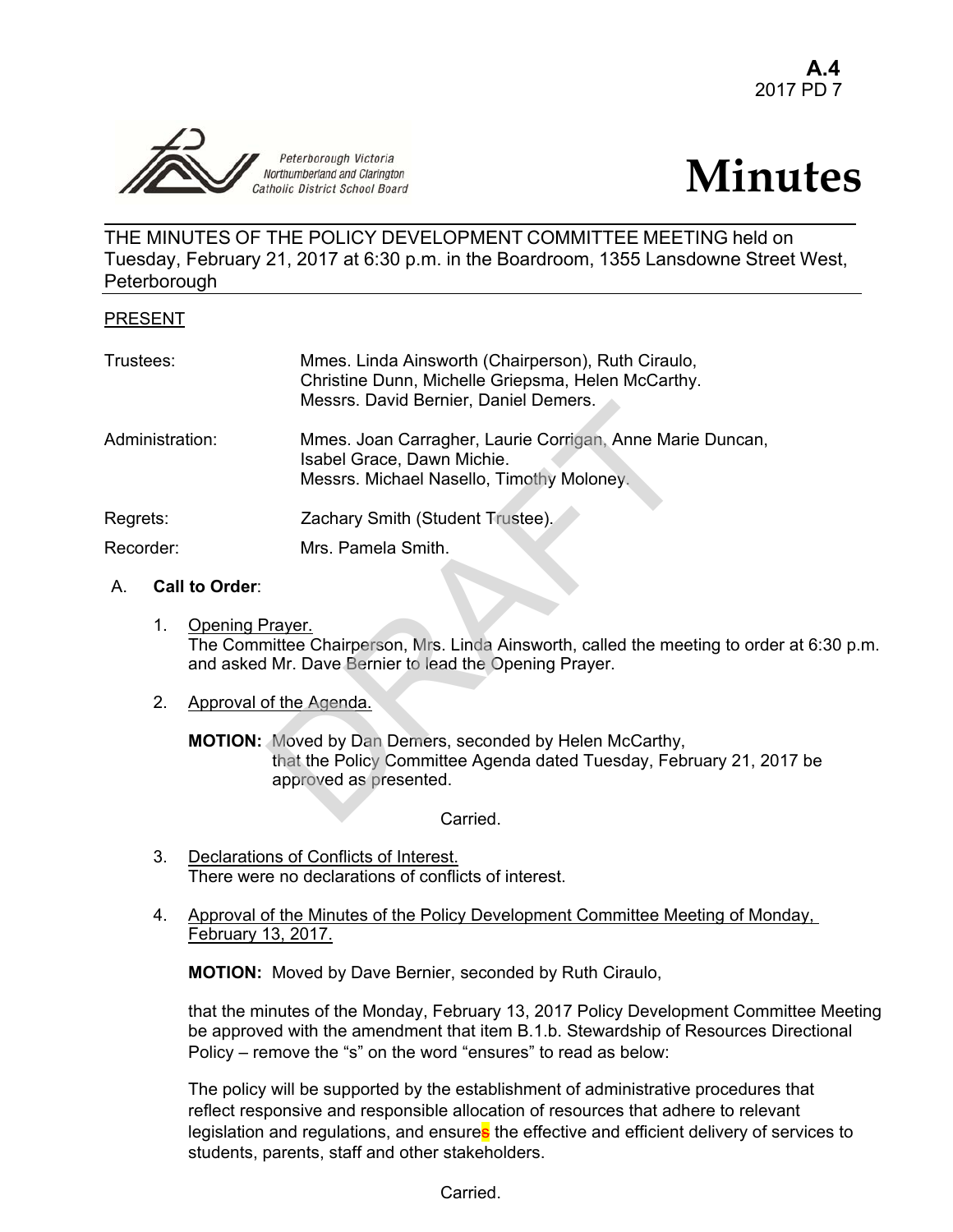

# **Minutes**

THE MINUTES OF THE POLICY DEVELOPMENT COMMITTEE MEETING held on Tuesday, February 21, 2017 at 6:30 p.m. in the Boardroom, 1355 Lansdowne Street West, **Peterborough** 

#### PRESENT

| Trustees:       |    |                         | Mmes. Linda Ainsworth (Chairperson), Ruth Ciraulo,<br>Christine Dunn, Michelle Griepsma, Helen McCarthy.<br>Messrs. David Bernier, Daniel Demers.              |
|-----------------|----|-------------------------|----------------------------------------------------------------------------------------------------------------------------------------------------------------|
| Administration: |    |                         | Mmes. Joan Carragher, Laurie Corrigan, Anne Marie Duncan,<br>Isabel Grace, Dawn Michie.<br>Messrs. Michael Nasello, Timothy Moloney.                           |
| Regrets:        |    |                         | Zachary Smith (Student Trustee).                                                                                                                               |
| Recorder:       |    |                         | Mrs. Pamela Smith.                                                                                                                                             |
| $A_{1}$         |    | <b>Call to Order:</b>   |                                                                                                                                                                |
|                 | 1. | Opening Prayer.         | The Committee Chairperson, Mrs. Linda Ainsworth, called the meeting to order a<br>and asked Mr. Dave Bernier to lead the Opening Prayer.                       |
|                 | 2. | Approval of the Agenda. |                                                                                                                                                                |
|                 |    |                         | <b>MOTION:</b> Moved by Dan Demers, seconded by Helen McCarthy,<br>that the Policy Committee Agenda dated Tuesday, February 21, 2017<br>approved as presented. |
|                 |    |                         | Carried                                                                                                                                                        |

#### A. **Call to Order**:

1. Opening Prayer. The Committee Chairperson, Mrs. Linda Ainsworth, called the meeting to order at 6:30 p.m. and asked Mr. Dave Bernier to lead the Opening Prayer.

#### 2. Approval of the Agenda.

Carried.

- 3. Declarations of Conflicts of Interest. There were no declarations of conflicts of interest.
- 4. Approval of the Minutes of the Policy Development Committee Meeting of Monday, February 13, 2017.

**MOTION:** Moved by Dave Bernier, seconded by Ruth Ciraulo,

 that the minutes of the Monday, February 13, 2017 Policy Development Committee Meeting be approved with the amendment that item B.1.b. Stewardship of Resources Directional Policy – remove the "s" on the word "ensures" to read as below:

The policy will be supported by the establishment of administrative procedures that reflect responsive and responsible allocation of resources that adhere to relevant legislation and regulations, and ensures the effective and efficient delivery of services to students, parents, staff and other stakeholders.

Carried.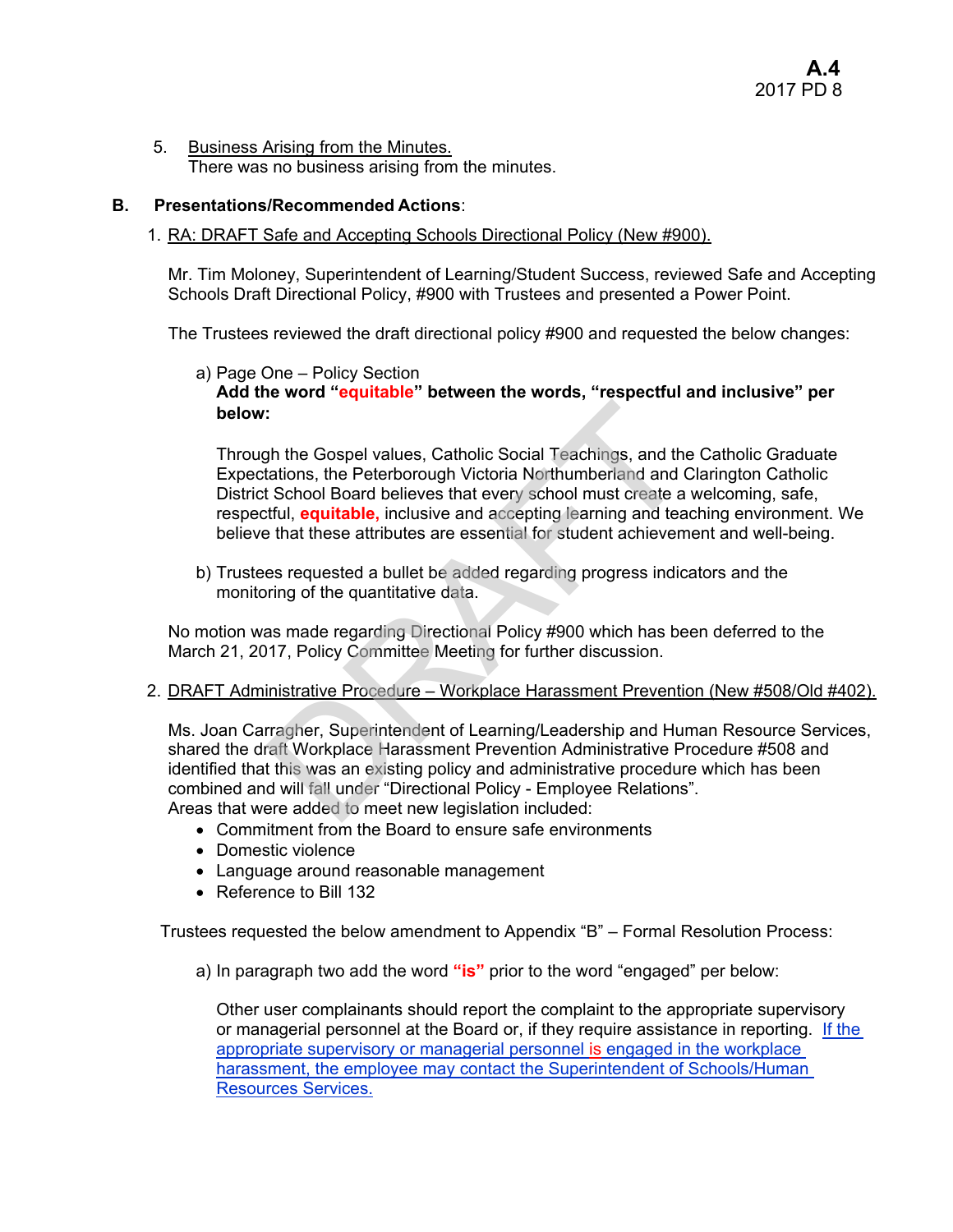5. Business Arising from the Minutes. There was no business arising from the minutes.

#### **B. Presentations/Recommended Actions**:

#### 1. RA: DRAFT Safe and Accepting Schools Directional Policy (New #900).

Mr. Tim Moloney, Superintendent of Learning/Student Success, reviewed Safe and Accepting Schools Draft Directional Policy, #900 with Trustees and presented a Power Point.

The Trustees reviewed the draft directional policy #900 and requested the below changes:

#### a) Page One – Policy Section **Add the word "equitable" between the words, "respectful and inclusive" per below:**

Through the Gospel values, Catholic Social Teachings, and the Catholic Graduate Expectations, the Peterborough Victoria Northumberland and Clarington Catholic District School Board believes that every school must create a welcoming, safe, respectful, **equitable,** inclusive and accepting learning and teaching environment. We believe that these attributes are essential for student achievement and well-being. :<br>
Sh the Gospel values, Catholic Social Teachings, and the<br>
tations, the Peterborough Victoria Northumberland and C<br>
School Board believes that every school must create a<br>
striful, **equitable**, inclusive and accepting lea

b) Trustees requested a bullet be added regarding progress indicators and the monitoring of the quantitative data.

No motion was made regarding Directional Policy #900 which has been deferred to the March 21, 2017, Policy Committee Meeting for further discussion.

2. DRAFT Administrative Procedure – Workplace Harassment Prevention (New #508/Old #402).

Ms. Joan Carragher, Superintendent of Learning/Leadership and Human Resource Services, shared the draft Workplace Harassment Prevention Administrative Procedure #508 and identified that this was an existing policy and administrative procedure which has been combined and will fall under "Directional Policy - Employee Relations". Areas that were added to meet new legislation included:

- Commitment from the Board to ensure safe environments
- Domestic violence
- Language around reasonable management
- Reference to Bill 132

Trustees requested the below amendment to Appendix "B" – Formal Resolution Process:

a) In paragraph two add the word **"is"** prior to the word "engaged" per below:

Other user complainants should report the complaint to the appropriate supervisory or managerial personnel at the Board or, if they require assistance in reporting. If the appropriate supervisory or managerial personnel is engaged in the workplace harassment, the employee may contact the Superintendent of Schools/Human Resources Services.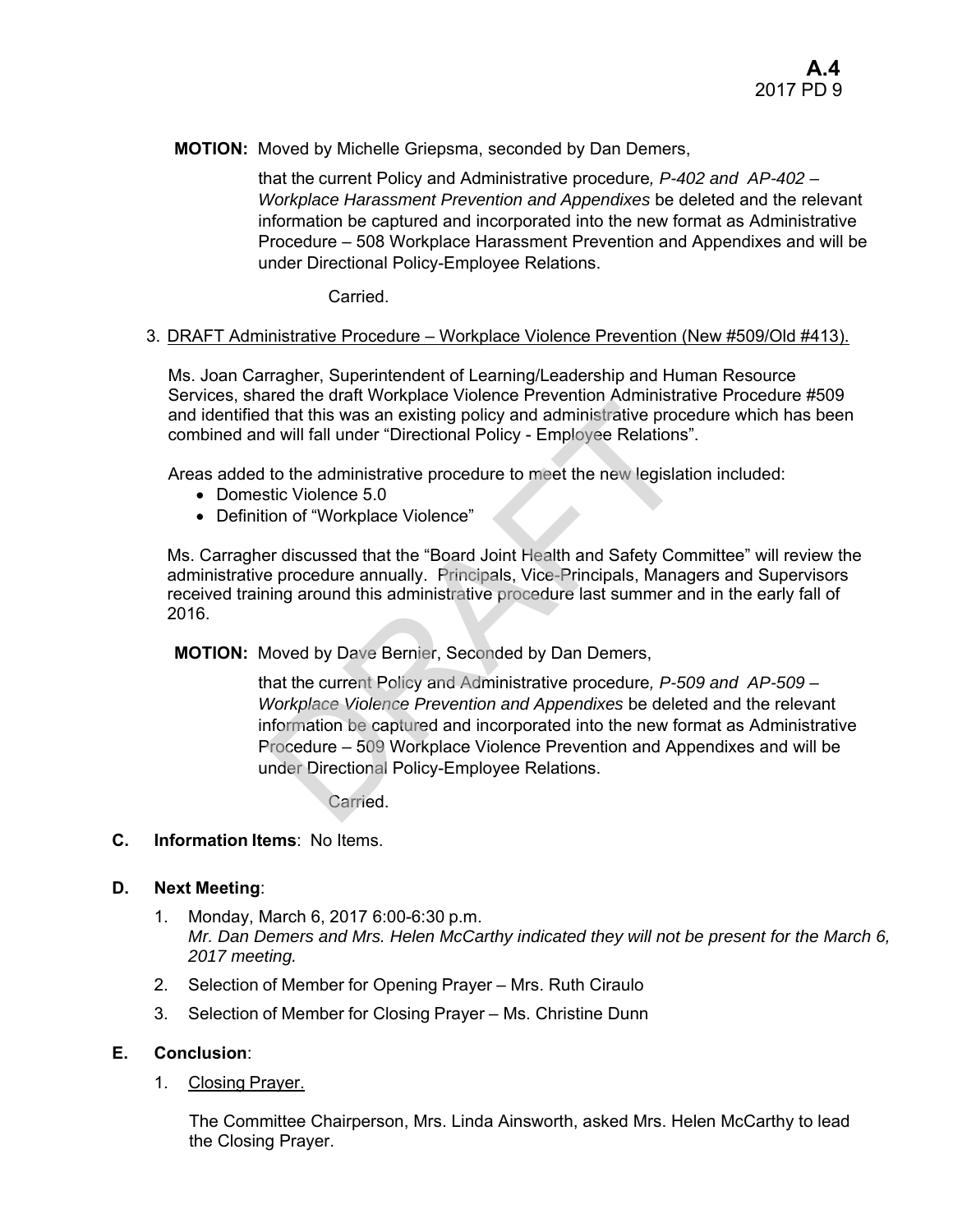**MOTION:** Moved by Michelle Griepsma, seconded by Dan Demers,

that the current Policy and Administrative procedure*, P-402 and AP-402 – Workplace Harassment Prevention and Appendixes* be deleted and the relevant information be captured and incorporated into the new format as Administrative Procedure – 508 Workplace Harassment Prevention and Appendixes and will be under Directional Policy-Employee Relations.

Carried.

#### 3. DRAFT Administrative Procedure – Workplace Violence Prevention (New #509/Old #413).

Ms. Joan Carragher, Superintendent of Learning/Leadership and Human Resource Services, shared the draft Workplace Violence Prevention Administrative Procedure #509 and identified that this was an existing policy and administrative procedure which has been combined and will fall under "Directional Policy - Employee Relations".

Areas added to the administrative procedure to meet the new legislation included:

- Domestic Violence 5.0
- Definition of "Workplace Violence"

Ms. Carragher discussed that the "Board Joint Health and Safety Committee" will review the administrative procedure annually. Principals, Vice-Principals, Managers and Supervisors received training around this administrative procedure last summer and in the early fall of 2016.

**MOTION:** Moved by Dave Bernier, Seconded by Dan Demers,

that the current Policy and Administrative procedure*, P-509 and AP-509 – Workplace Violence Prevention and Appendixes* be deleted and the relevant information be captured and incorporated into the new format as Administrative Procedure – 509 Workplace Violence Prevention and Appendixes and will be under Directional Policy-Employee Relations. The transition professor control and that this was an existing policy and ddministrative procedure to the administrative procedure to the administrative procedure to the administrative procedure to the administrative proce

Carried.

#### **C. Information Items**: No Items.

#### **D. Next Meeting**:

- 1. Monday, March 6, 2017 6:00-6:30 p.m. *Mr. Dan Demers and Mrs. Helen McCarthy indicated they will not be present for the March 6, 2017 meeting.*
- 2. Selection of Member for Opening Prayer Mrs. Ruth Ciraulo
- 3. Selection of Member for Closing Prayer Ms. Christine Dunn

#### **E. Conclusion**:

1. Closing Prayer.

The Committee Chairperson, Mrs. Linda Ainsworth, asked Mrs. Helen McCarthy to lead the Closing Prayer.